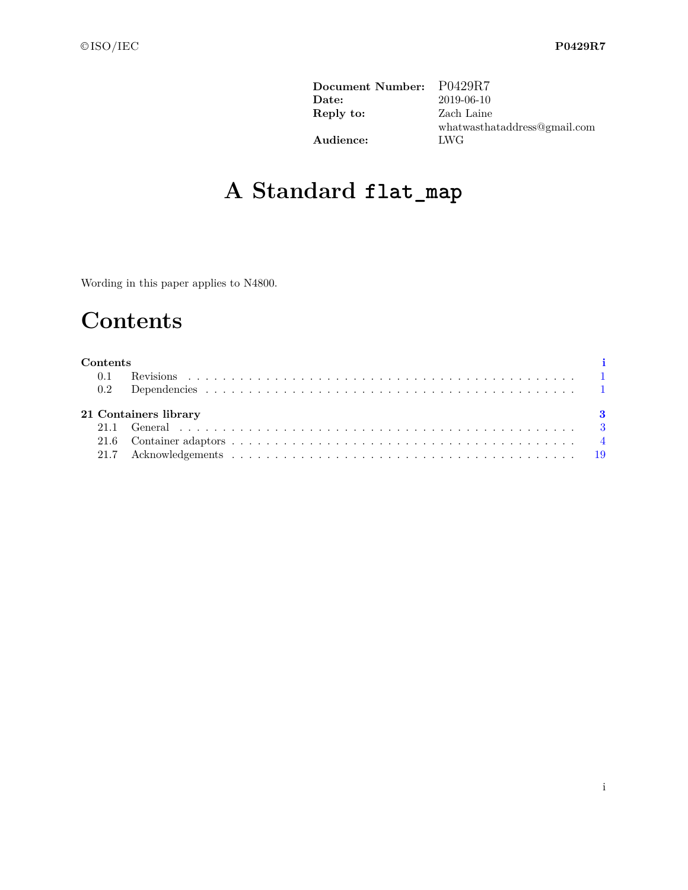| Document Number: | P0429R7                      |
|------------------|------------------------------|
| Date:            | 2019-06-10                   |
| Reply to:        | Zach Laine                   |
|                  | whatwasthataddress@gmail.com |
| Audience:        | <b>LWG</b>                   |

# **A Standard flat\_map**

Wording in this paper applies to N4800.

# **Contents**

# <span id="page-0-0"></span>**Contents [i](#page-0-0)** 0.1 Revisions . . . . . . . . . . . . . . . . . . . . . . . . . . . . . . . . . . . . . . . . . . . . . [1](#page-1-0) 0.2 Dependencies . . . . . . . . . . . . . . . . . . . . . . . . . . . . . . . . . . . . . . . . . . . 1 **21 Containers library [3](#page-4-0)** 21.1 General . . . . . . . . . . . . . . . . . . . . . . . . . . . . . . . . . . . . . . . . . . . . . . [3](#page-4-1) 21.6 Container adaptors . . . . . . . . . . . . . . . . . . . . . . . . . . . . . . . . . . . . . . . . [4](#page-5-0) 21.7 Acknowledgements . . . . . . . . . . . . . . . . . . . . . . . . . . . . . . . . . . . . . . . . [19](#page-26-0)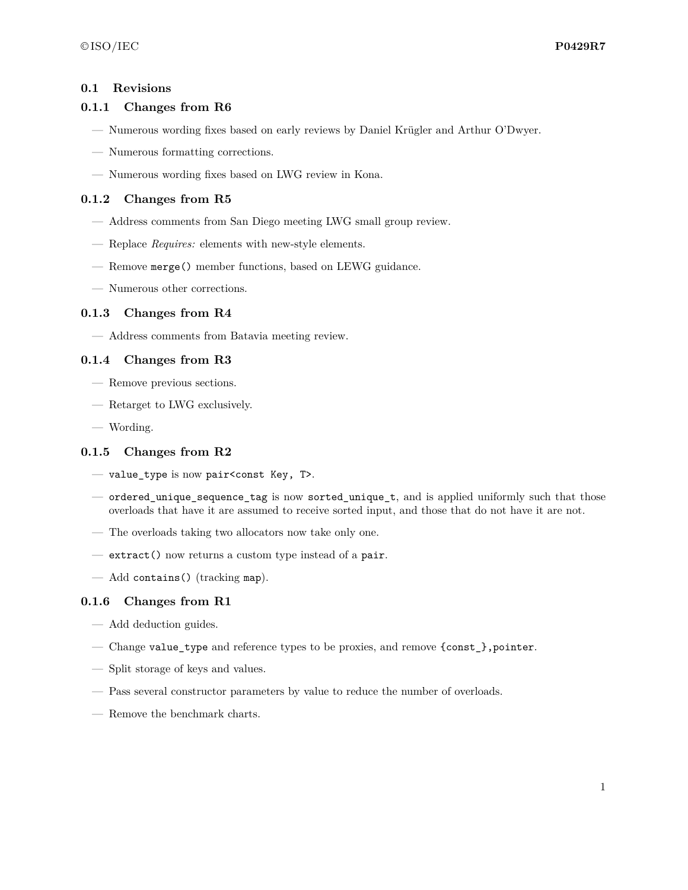## <span id="page-1-0"></span>**0.1 Revisions**

# **0.1.1 Changes from R6**

- Numerous wording fixes based on early reviews by Daniel Krügler and Arthur O'Dwyer.
- Numerous formatting corrections.
- Numerous wording fixes based on LWG review in Kona.

# **0.1.2 Changes from R5**

- Address comments from San Diego meeting LWG small group review.
- Replace *Requires:* elements with new-style elements.
- Remove merge() member functions, based on LEWG guidance.
- Numerous other corrections.

### **0.1.3 Changes from R4**

— Address comments from Batavia meeting review.

# **0.1.4 Changes from R3**

- Remove previous sections.
- Retarget to LWG exclusively.
- Wording.

# **0.1.5 Changes from R2**

- value\_type is now pair<const Key, T>.
- ordered\_unique\_sequence\_tag is now sorted\_unique\_t, and is applied uniformly such that those overloads that have it are assumed to receive sorted input, and those that do not have it are not.
- The overloads taking two allocators now take only one.
- extract() now returns a custom type instead of a pair.
- Add contains() (tracking map).

# **0.1.6 Changes from R1**

- Add deduction guides.
- Change value\_type and reference types to be proxies, and remove {const\_},pointer.
- Split storage of keys and values.
- Pass several constructor parameters by value to reduce the number of overloads.
- Remove the benchmark charts.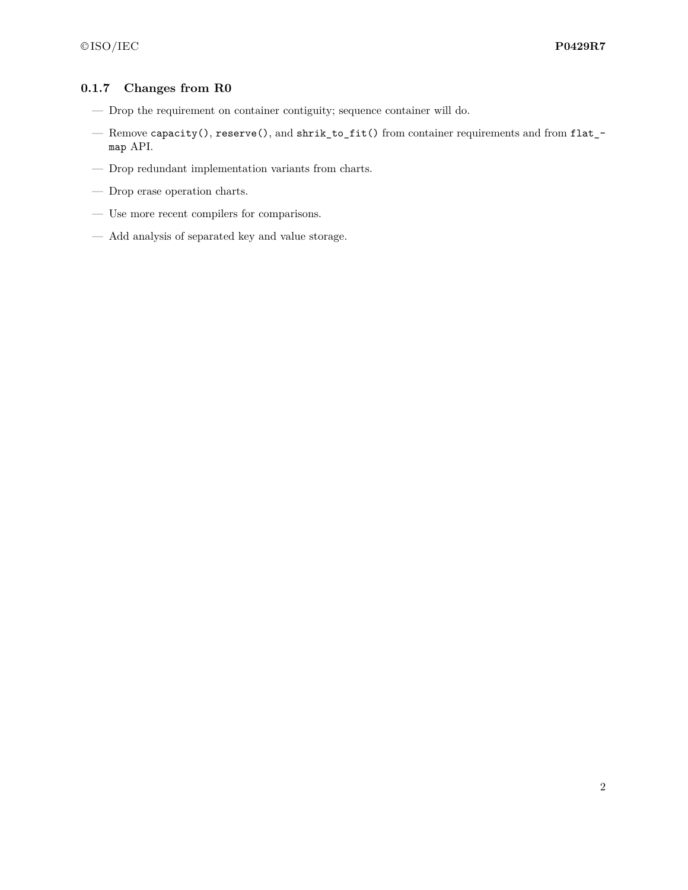# **0.1.7 Changes from R0**

- Drop the requirement on container contiguity; sequence container will do.
- Remove capacity(), reserve(), and shrik\_to\_fit() from container requirements and from flat\_ map API.
- $\hspace{0.1mm}$  Drop redundant implementation variants from charts.
- Drop erase operation charts.
- Use more recent compilers for comparisons.
- Add analysis of separated key and value storage.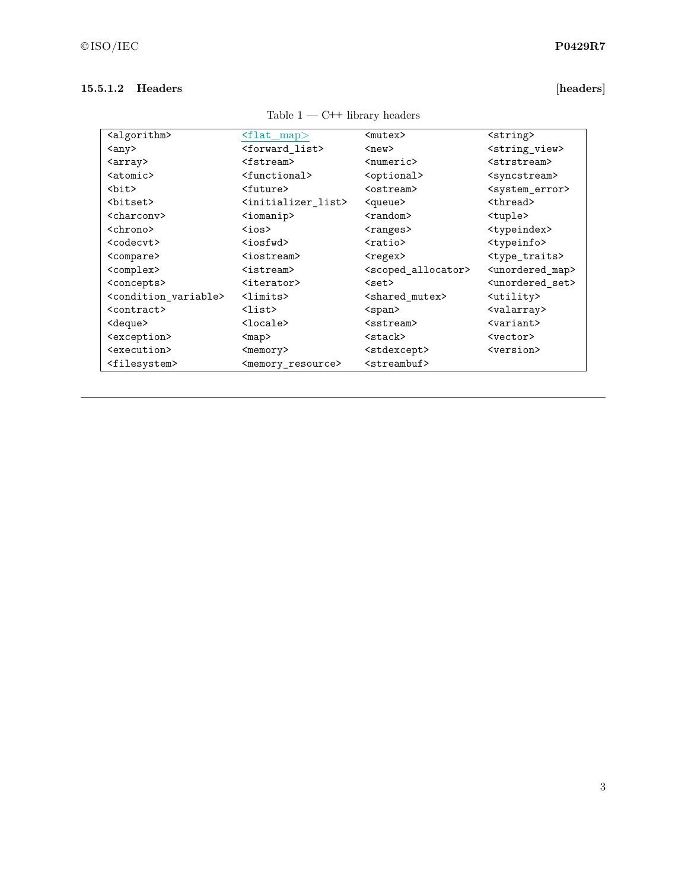# **15.5.1.2 Headers [headers]**

| <algorithm></algorithm>             | $\text{1at } \text{map}$            | $mutex$                               | <string></string>                |
|-------------------------------------|-------------------------------------|---------------------------------------|----------------------------------|
| <any></any>                         | $<$ forward_list>                   | $new$                                 | <string_view></string_view>      |
| <array></array>                     | <fstream></fstream>                 | <numeric></numeric>                   | <strstream></strstream>          |
| $<$ atomic $>$                      | <functional></functional>           | <optional></optional>                 | <syncstream></syncstream>        |
| <bit></bit>                         | <future></future>                   | <ostream></ostream>                   | <system_error></system_error>    |
| <bitset></bitset>                   | <initializer list=""></initializer> | <queue></queue>                       | <thread></thread>                |
| <charcony></charcony>               | <iomanip></iomanip>                 | <random></random>                     | <tuple></tuple>                  |
| <chrono></chrono>                   | $\zeta$ ios $>$                     | <ranges></ranges>                     | <typeindex></typeindex>          |
| <codecvt></codecvt>                 | $iosfwd$                            | $ratio$                               | <typeinfo></typeinfo>            |
| <compare></compare>                 | <iostream></iostream>               | <regex></regex>                       | <type_traits></type_traits>      |
| <complex></complex>                 | <istream></istream>                 | <scoped_allocator></scoped_allocator> | <unordered map=""></unordered>   |
| <concepts></concepts>               | <iterator></iterator>               | $set$                                 | <unordered set=""></unordered>   |
| <condition variable=""></condition> | <limits></limits>                   | <shared mutex=""></shared>            | <utility></utility>              |
| <contract></contract>               | $\langle$ list $\rangle$            | $<$ span $>$                          | <valarray></valarray>            |
| <deque></deque>                     | $\texttt{Clock}$                    | <sstream></sstream>                   | $\langle \text{variant} \rangle$ |
| <exception></exception>             | $map$                               | <stack></stack>                       | <vector></vector>                |
| <execution></execution>             | <memory></memory>                   | <stdexcept></stdexcept>               | <version></version>              |
| <filesystem></filesystem>           | <memory resource=""></memory>       | <streambuf></streambuf>               |                                  |
|                                     |                                     |                                       |                                  |

Table  $1$  — C++ library headers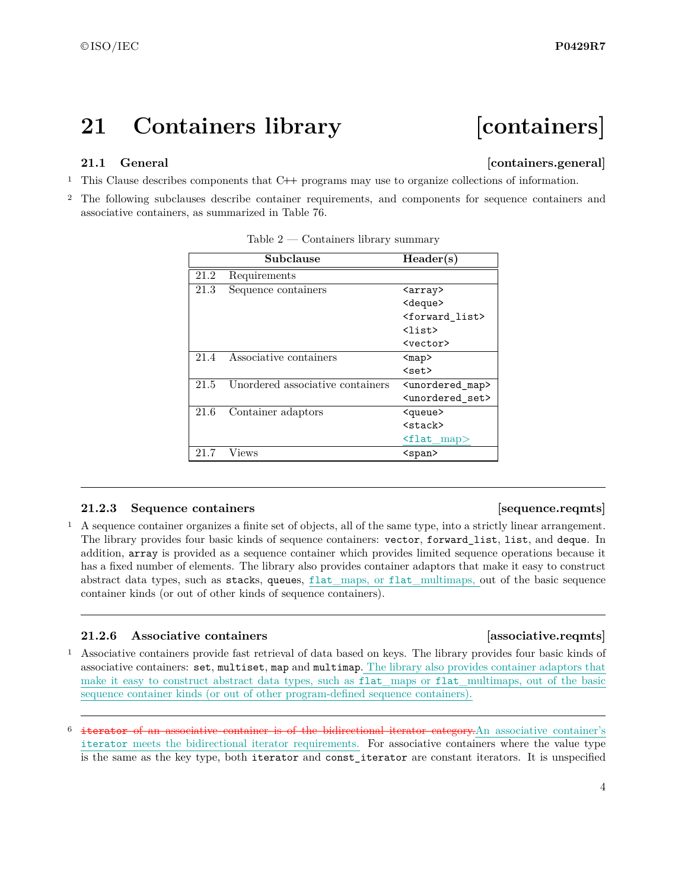# <span id="page-4-0"></span>**21 Containers library [containers]**

# <span id="page-4-1"></span>**21.1 General Containers.general**

- <sup>1</sup> This Clause describes components that C**++** programs may use to organize collections of information.
- <sup>2</sup> The following subclauses describe container requirements, and components for sequence containers and associative containers, as summarized in Table 76.

|      | Subclause                        | Header(s)                      |
|------|----------------------------------|--------------------------------|
| 21.2 | Requirements                     |                                |
| 21.3 | Sequence containers              | <array></array>                |
|      |                                  | <deque></deque>                |
|      |                                  | <forward_list></forward_list>  |
|      |                                  | $\langle$ list $\rangle$       |
|      |                                  | <vector></vector>              |
| 21.4 | Associative containers           | $map$                          |
|      |                                  | $set$                          |
| 21.5 | Unordered associative containers | <unordered map=""></unordered> |
|      |                                  | <unordered set=""></unordered> |
| 21.6 | Container adaptors               | <queue></queue>                |
|      |                                  | <stack></stack>                |
|      |                                  | $flat_map$                     |
| 21.7 | Views                            | <span></span>                  |

Table  $2$  — Containers library summary

## **21.2.3** Sequence containers **and intervals [sequence.reqmts]**

<sup>1</sup> A sequence container organizes a finite set of objects, all of the same type, into a strictly linear arrangement. The library provides four basic kinds of sequence containers: vector, forward\_list, list, and deque. In addition, array is provided as a sequence container which provides limited sequence operations because it has a fixed number of elements. The library also provides container adaptors that make it easy to construct abstract data types, such as stacks, queues, flat\_maps, or flat\_multimaps, out of the basic sequence container kinds (or out of other kinds of sequence containers).

# **21.2.6 Associative containers [associative.reqmts]**

<sup>1</sup> Associative containers provide fast retrieval of data based on keys. The library provides four basic kinds of associative containers: set, multiset, map and multimap. The library also provides container adaptors that make it easy to construct abstract data types, such as flat\_maps or flat\_multimaps, out of the basic sequence container kinds (or out of other program-defined sequence containers).

iterator of an associative container is of the bidirectional iterator category.An associative container's iterator meets the bidirectional iterator requirements. For associative containers where the value type is the same as the key type, both iterator and const\_iterator are constant iterators. It is unspecified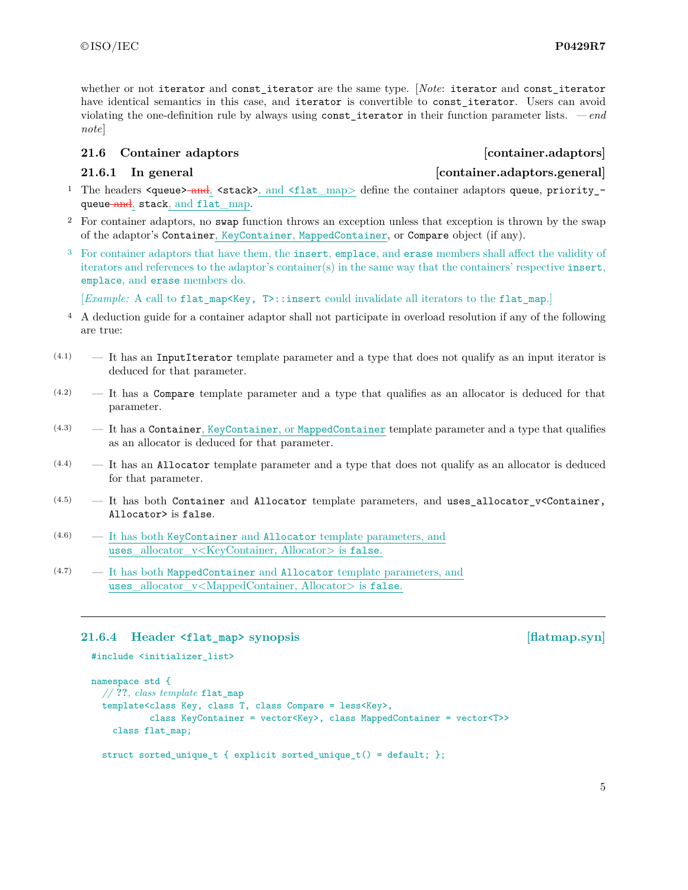whether or not iterator and const iterator are the same type. [*Note*: iterator and const iterator have identical semantics in this case, and iterator is convertible to const iterator. Users can avoid violating the one-definition rule by always using const\_iterator in their function parameter lists. *— end note*]

# <span id="page-5-0"></span>**21.6 Container adaptors [container.adaptors]**

# **21.6.1 In general [container.adaptors.general]**

- <sup>1</sup> The headers  $\langle$ queue $\rangle$ -and,  $\langle$ stack $\rangle$ , and  $\langle$ flat\_map $\rangle$  define the container adaptors queue, priority\_queue and, stack, and flat\_map.
- <sup>2</sup> For container adaptors, no swap function throws an exception unless that exception is thrown by the swap of the adaptor's Container, KeyContainer, MappedContainer, or Compare object (if any).
- <sup>3</sup> For container adaptors that have them, the insert, emplace, and erase members shall affect the validity of iterators and references to the adaptor's container(s) in the same way that the containers' respective insert, emplace, and erase members do.

[*Example:* A call to flat\_map<Key,  $T$ >::insert could invalidate all iterators to the flat\_map.]

- <sup>4</sup> A deduction guide for a container adaptor shall not participate in overload resolution if any of the following are true:
- $(4.1)$  It has an InputIterator template parameter and a type that does not qualify as an input iterator is deduced for that parameter.
- (4.2) It has a Compare template parameter and a type that qualifies as an allocator is deduced for that parameter.
- $(4.3)$  It has a Container, KeyContainer, or MappedContainer template parameter and a type that qualifies as an allocator is deduced for that parameter.
- $(4.4)$  It has an Allocator template parameter and a type that does not qualify as an allocator is deduced for that parameter.
- $(4.5)$  It has both Container and Allocator template parameters, and uses\_allocator\_v<Container, Allocator> is false.
- (4.6) It has both KeyContainer and Allocator template parameters, and uses\_allocator\_v<KeyContainer, Allocator> is false.
- (4.7) It has both MappedContainer and Allocator template parameters, and uses allocator v<MappedContainer, Allocator> is false.

# **21.6.4 Header <flat\_map> synopsis [flatmap.syn]**

#include <initializer\_list>

```
namespace std {
  // ??, class template flat_map
  template<class Key, class T, class Compare = less<Key>,
           class KeyContainer = vector<Key>, class MappedContainer = vector<T>>
    class flat_map;
```

```
struct sorted_unique_t { explicit sorted_unique_t() = default; };
```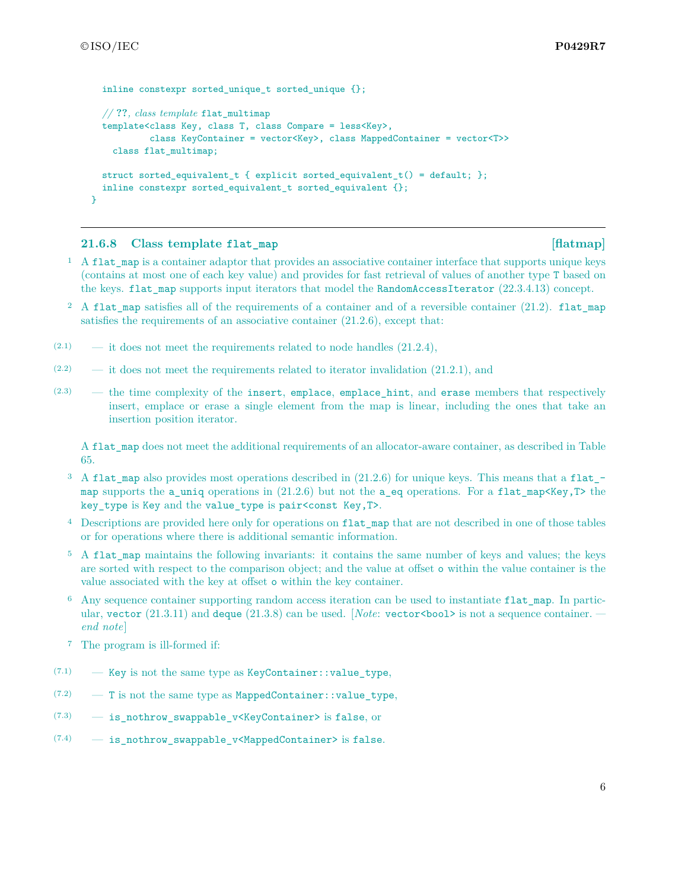```
inline constexpr sorted unique t sorted unique \{\};
 // ??, class template flat_multimap
  template<class Key, class T, class Compare = less<Key>,
           class KeyContainer = vector<Key>, class MappedContainer = vector<T>>
   class flat multimap;
 struct sorted_equivalent_t { explicit sorted_equivalent_t() = default; };
 inline constexpr sorted_equivalent_t sorted_equivalent {};
}
```
# **21.6.8 Class template flat map [flatmap] [flatmap]**

- <sup>1</sup> A flat map is a container adaptor that provides an associative container interface that supports unique keys (contains at most one of each key value) and provides for fast retrieval of values of another type T based on the keys. flat\_map supports input iterators that model the RandomAccessIterator (22.3.4.13) concept.
- <sup>2</sup> A flat map satisfies all of the requirements of a container and of a reversible container  $(21.2)$ . flat map satisfies the requirements of an associative container  $(21.2.6)$ , except that:
- $(2.1)$  it does not meet the requirements related to node handles  $(21.2.4)$ ,
- $(2.2)$  it does not meet the requirements related to iterator invalidation  $(21.2.1)$ , and
- (2.3) the time complexity of the insert, emplace, emplace\_hint, and erase members that respectively insert, emplace or erase a single element from the map is linear, including the ones that take an insertion position iterator.

A flat map does not meet the additional requirements of an allocator-aware container, as described in Table 65.

- <sup>3</sup> A flat map also provides most operations described in  $(21.2.6)$  for unique keys. This means that a flat map supports the a\_uniq operations in  $(21.2.6)$  but not the a\_eq operations. For a flat\_map<Key,T> the key\_type is Key and the value\_type is pair<const Key,T>.
- <sup>4</sup> Descriptions are provided here only for operations on flat\_map that are not described in one of those tables or for operations where there is additional semantic information.
- <sup>5</sup> A flat\_map maintains the following invariants: it contains the same number of keys and values; the keys are sorted with respect to the comparison object; and the value at offset o within the value container is the value associated with the key at offset o within the key container.
- <sup>6</sup> Any sequence container supporting random access iteration can be used to instantiate flat\_map. In particular, vector  $(21.3.11)$  and deque  $(21.3.8)$  can be used. [*Note*: vector <br/>bool> is not a sequence container. *end note*]
- <sup>7</sup> The program is ill-formed if:
- (7.1) Key is not the same type as KeyContainer::value\_type,
- $(7.2)$  T is not the same type as MappedContainer: : value\_type,
- (7.3) is\_nothrow\_swappable\_v<KeyContainer> is false, or
- (7.4) is\_nothrow\_swappable\_v<MappedContainer> is false.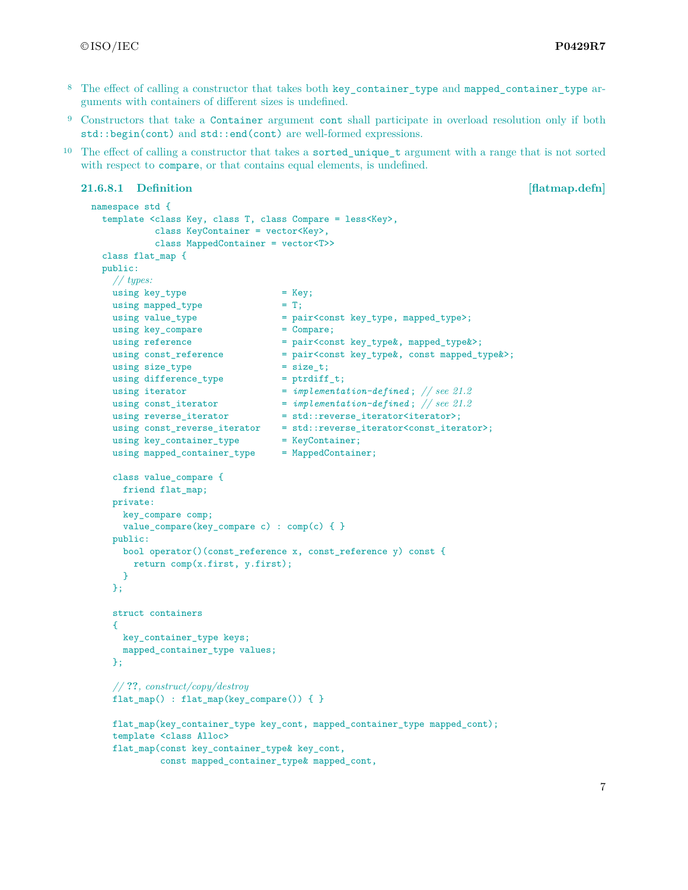- <sup>8</sup> The effect of calling a constructor that takes both key container type and mapped container type arguments with containers of different sizes is undefined.
- <sup>9</sup> Constructors that take a Container argument cont shall participate in overload resolution only if both std::begin(cont) and std::end(cont) are well-formed expressions.
- <sup>10</sup> The effect of calling a constructor that takes a sorted unique t argument with a range that is not sorted with respect to compare, or that contains equal elements, is undefined.

# **21.6.8.1 Definition [flatmap.defn]**

```
namespace std {
 template <class Key, class T, class Compare = less<Key>,
          class KeyContainer = vector<Key>,
          class MappedContainer = vector<T>>
 class flat_map {
 public:
   // types:
   using key_type = Key;
   using mapped_type = T;
   using value type = pair<const key type, mapped type>;
   using key\_compare = Compare;using reference = pair<const key type k, mapped type k);
   using const_reference = pair<const key_type&, const mapped_type&>;
   using size_type = size_t;using difference_type = ptrdiff_t;
   using iterator = implementation-defined; // see 21.2
    using const_iterator = implementation-defined ; // see 21.2
    using reverse_iterator = std::reverse\_iterator\times;using const_reverse_iterator = std::reverse_iterator<const_iterator>;
   using key_container_type = KeyContainer;
   using mapped_container_type = MappedContainer;
   class value_compare {
     friend flat_map;
   private:
     key_compare comp;
     value_compare(key_compare c) : comp(c) { }
   public:
     bool operator()(const_reference x, const_reference y) const {
       return comp(x.first, y.first);
     }
   };
   struct containers
   {
     key_container_type keys;
     mapped_container_type values;
   };
   // ??, construct/copy/destroy
   flat_map() : flat_map(key_compare()) { }
   flat_map(key_container_type key_cont, mapped_container_type mapped_cont);
   template <class Alloc>
   flat_map(const key_container_type& key_cont,
            const mapped_container_type& mapped_cont,
```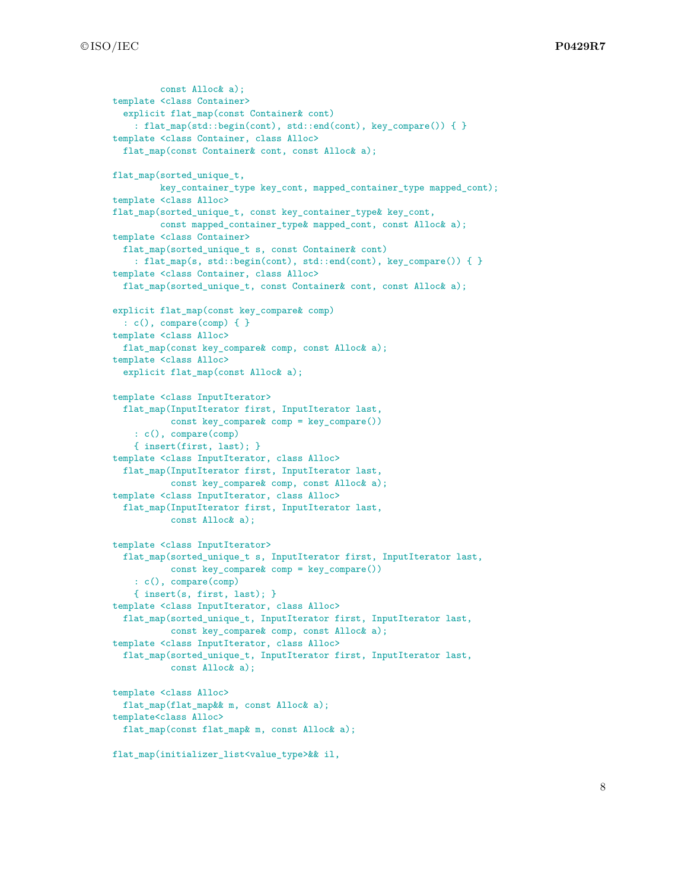```
const Alloc& a);
template <class Container>
  explicit flat_map(const Container& cont)
    : flat_map(std::begin(cont), std::end(cont), key_compare()) { }
template <class Container, class Alloc>
 flat map(const Container& cont, const Alloc& a);
flat_map(sorted_unique_t,
         key_container_type key_cont, mapped_container_type mapped_cont);
template <class Alloc>
flat_map(sorted_unique_t, const key_container_type& key_cont,
         const mapped_container_type& mapped_cont, const Alloc& a);
template <class Container>
 flat_map(sorted_unique_t s, const Container& cont)
    : flat_map(s, std::begin(cont), std::end(cont), key_compare()) { }
template <class Container, class Alloc>
 flat_map(sorted_unique_t, const Container& cont, const Alloc& a);
explicit flat_map(const key_compare& comp)
 \colon c(), compare(comp) \{\}template <class Alloc>
 flat_map(const key_compare& comp, const Alloc& a);
template <class Alloc>
  explicit flat_map(const Alloc& a);
template <class InputIterator>
  flat_map(InputIterator first, InputIterator last,
           const key_compare& comp = key_compare())
    : c(), compare(comp)
    { insert(first, last); }
template <class InputIterator, class Alloc>
  flat_map(InputIterator first, InputIterator last,
           const key_compare& comp, const Alloc& a);
template <class InputIterator, class Alloc>
  flat_map(InputIterator first, InputIterator last,
           const Alloc& a);
template <class InputIterator>
  flat_map(sorted_unique_t s, InputIterator first, InputIterator last,
           const key_compare& comp = key_compare())
    : c(), compare(comp)
    { insert(s, first, last); }
template <class InputIterator, class Alloc>
 flat_map(sorted_unique_t, InputIterator first, InputIterator last,
           const key_compare& comp, const Alloc& a);
template <class InputIterator, class Alloc>
  flat_map(sorted_unique_t, InputIterator first, InputIterator last,
           const Alloc& a);
template <class Alloc>
 flat_map(flat_map&& m, const Alloc& a);
template<class Alloc>
 flat_map(const flat_map& m, const Alloc& a);
flat map(initializer_list<value_type>&& il,
```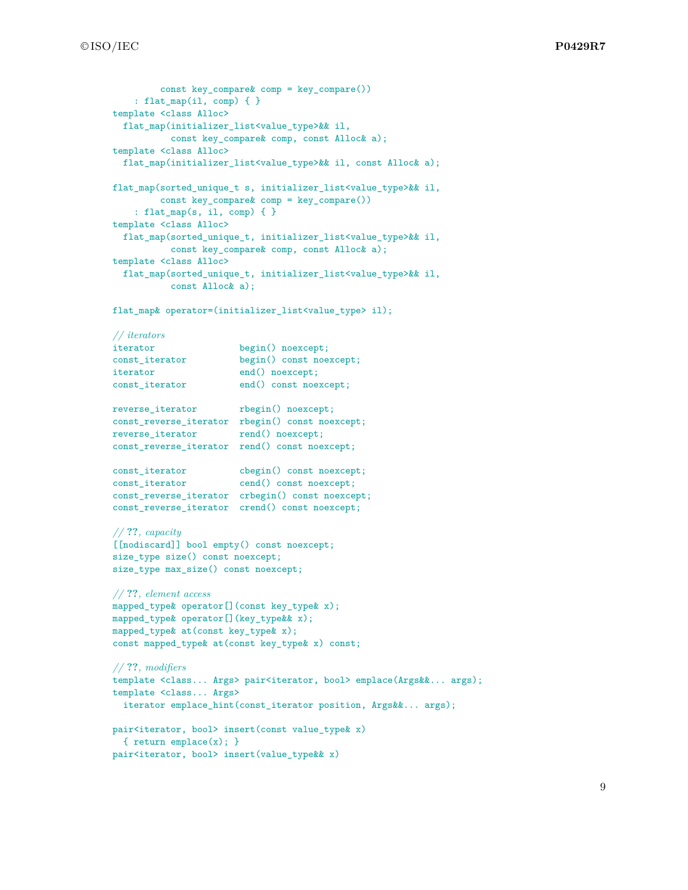```
const key compare& comp = key compare())
    : flat_map(il, comp) { }
template <class Alloc>
  flat_map(initializer_list<value_type>&& il,
          const key_compare& comp, const Alloc& a);
template <class Alloc>
  flat_map(initializer_list<value_type>&& il, const Alloc& a);
flat_map(sorted_unique_t s, initializer_list<value_type>&& il,
         const key_compare& comp = key_compare())
    : flat_map(s, il, comp) { }
template <class Alloc>
  flat_map(sorted_unique_t, initializer_list<value_type>&& il,
          const key_compare& comp, const Alloc& a);
template <class Alloc>
  flat_map(sorted_unique_t, initializer_list<value_type>&& il,
          const Alloc& a);
flat_map& operator=(initializer_list<value_type> il);
// iterators
iterator begin() noexcept;
const_iterator begin() const noexcept;
iterator end() noexcept;
const_iterator end() const noexcept;
reverse_iterator rbegin() noexcept;
const_reverse_iterator rbegin() const noexcept;
reverse_iterator rend() noexcept;
const_reverse_iterator rend() const noexcept;
const_iterator cbegin() const noexcept;
const_iterator cend() const noexcept;
const_reverse_iterator crbegin() const noexcept;
const_reverse_iterator crend() const noexcept;
// ??, capacity
[[nodiscard]] bool empty() const noexcept;
size_type size() const noexcept;
size_type max_size() const noexcept;
// ??, element access
mapped_type& operator[](const key_type& x);
mapped_type& operator[](key_type&& x);
mapped_type& at(const key_type& x);
const mapped_type& at(const key_type& x) const;
// ??, modifiers
template <class... Args> pair<iterator, bool> emplace(Args&&... args);
template <class... Args>
 iterator emplace_hint(const_iterator position, Args&&... args);
pair<iterator, bool> insert(const value_type& x)
  { return emplace(x); }
```
pair<iterator, bool> insert(value\_type&& x)

9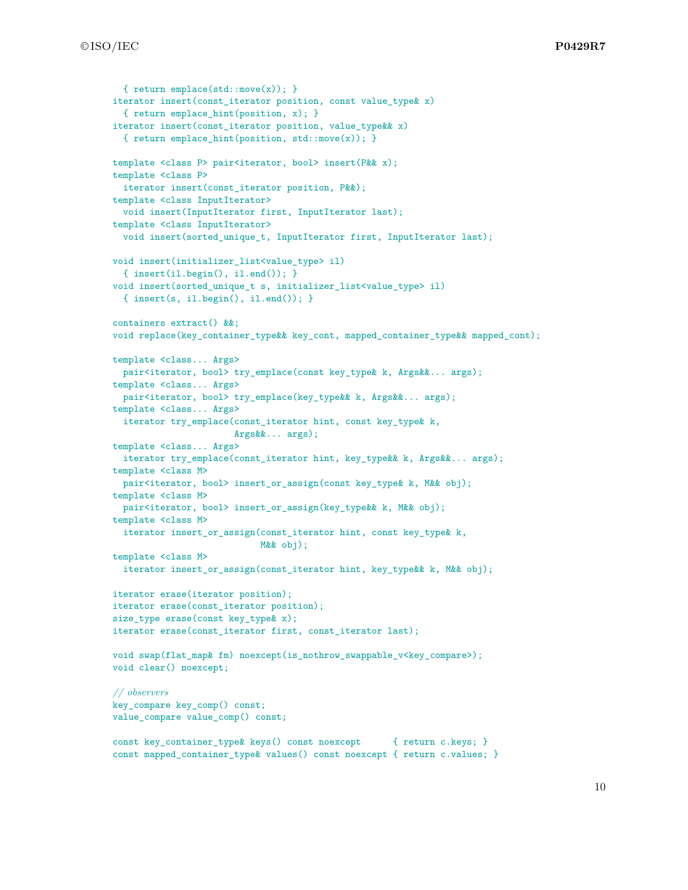```
{ return emplace(std::move(x)); }
iterator insert(const_iterator position, const value_type& x)
  { return emplace_hint(position, x); }
iterator insert(const_iterator position, value_type&& x)
  { return emplace_hint(position, std::move(x)); }
template <class P> pair<iterator, bool> insert(P&& x);
template <class P>
 iterator insert(const_iterator position, P&&);
template <class InputIterator>
 void insert(InputIterator first, InputIterator last);
template <class InputIterator>
 void insert(sorted_unique_t, InputIterator first, InputIterator last);
void insert(initializer_list<value_type> il)
 { insert(il.begin(), il.end()); }
void insert(sorted_unique_t s, initializer_list<value_type> il)
 { insert(s, il.begin(), il.end()); }
containers extract() &&;
void replace(key_container_type&& key_cont, mapped_container_type&& mapped_cont);
template <class... Args>
 pair<iterator, bool> try_emplace(const key_type& k, Args&&... args);
template <class... Args>
  pair<iterator, bool> try_emplace(key_type&& k, Args&&... args);
template <class... Args>
 iterator try_emplace(const_iterator hint, const key_type& k,
                       Args&&... args);
template <class... Args>
  iterator try_emplace(const_iterator hint, key_type&& k, Args&&... args);
template <class M>
 pair<iterator, bool> insert_or_assign(const key_type& k, M&& obj);
template <class M>
 pair<iterator, bool> insert_or_assign(key_type & k, M & obj);
template <class M>
 iterator insert_or_assign(const_iterator hint, const key_type& k,
                           M&& obj);
template <class M>
 iterator insert_or_assign(const_iterator hint, key_type&& k, M&& obj);
iterator erase(iterator position);
iterator erase(const_iterator position);
size_type erase(const key_type& x);
iterator erase(const_iterator first, const_iterator last);
void swap(flat_map& fm) noexcept(is_nothrow_swappable_v<key_compare>);
void clear() noexcept;
// observers
key_compare key_comp() const;
value_compare value_comp() const;
const key_container_type& keys() const noexcept { return c.keys; }
const mapped container type  values() const noexcept { return c.values; }
```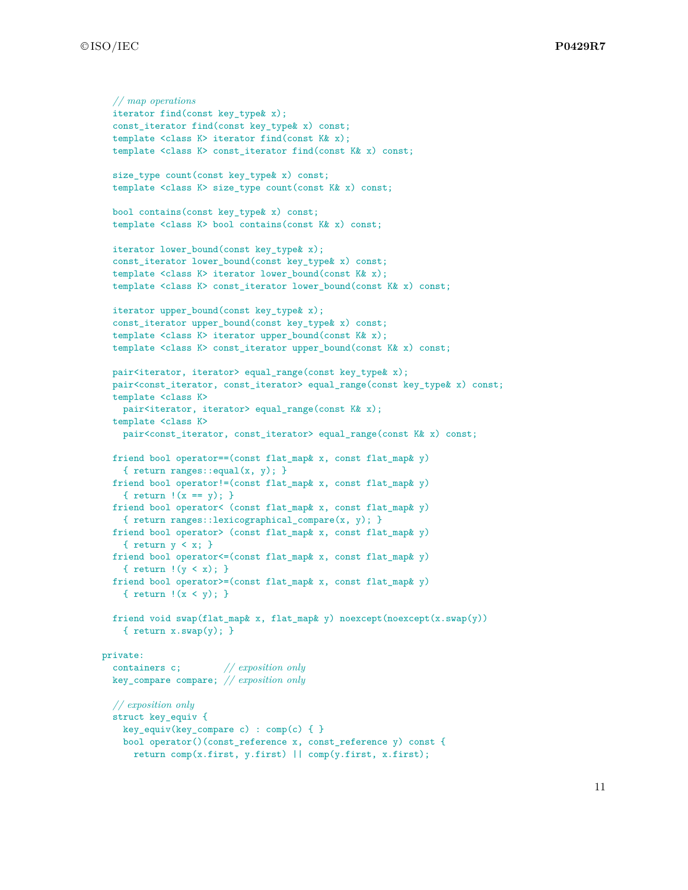```
// map operations
  iterator find(const key_type& x);
  const_iterator find(const key_type& x) const;
  template <class K> iterator find(const K& x);
  template <class K> const_iterator find(const K& x) const;
  size_type count(const key_type& x) const;
  template <class K> size_type count(const K& x) const;
  bool contains(const key_type& x) const;
  template <class K> bool contains(const K& x) const;
  iterator lower_bound(const key_type& x);
  const_iterator lower_bound(const key_type& x) const;
  template <class K> iterator lower_bound(const K& x);
  template <class K> const_iterator lower_bound(const K& x) const;
  iterator upper_bound(const key_type& x);
  const_iterator upper_bound(const key_type& x) const;
  template <class K> iterator upper_bound(const K& x);
  template <class K> const_iterator upper_bound(const K& x) const;
  pair<iterator, iterator> equal_range(const key_type& x);
  pair<const_iterator, const_iterator> equal_range(const key_type& x) const;
  template <class K>
   pair<iterator, iterator> equal_range(const K& x);
  template <class K>
    pair<const_iterator, const_iterator> equal_range(const K& x) const;
  friend bool operator==(const flat_map& x, const flat_map& y)
    { return ranges::equal(x, y); }
  friend bool operator!=(const flat_map& x, const flat_map& y)
    { return !(x == y); }
  friend bool operator< (const flat_map& x, const flat_map& y)
    { return ranges::lexicographical_compare(x, y); }
  friend bool operator> (const flat_map& x, const flat_map& y)
    { return y < x; }
  friend bool operator<=(const flat_map& x, const flat_map& y)
    { return !(y < x); }
  friend bool operator>=(const flat_map& x, const flat_map& y)
    { return !(x < y); }
  friend void swap(flat_map& x, flat_map& y) noexcept(noexcept(x.swap(y))
    { return x.sum(y); }
private:
  containers c; // exposition only
  key_compare compare; // exposition only
  // exposition only
  struct key_equiv {
    key_equiv(key_compare c) : comp(c) { }
    bool operator()(const_reference x, const_reference y) const {
      return comp(x.first, y.first) || comp(y.first, x.first);
```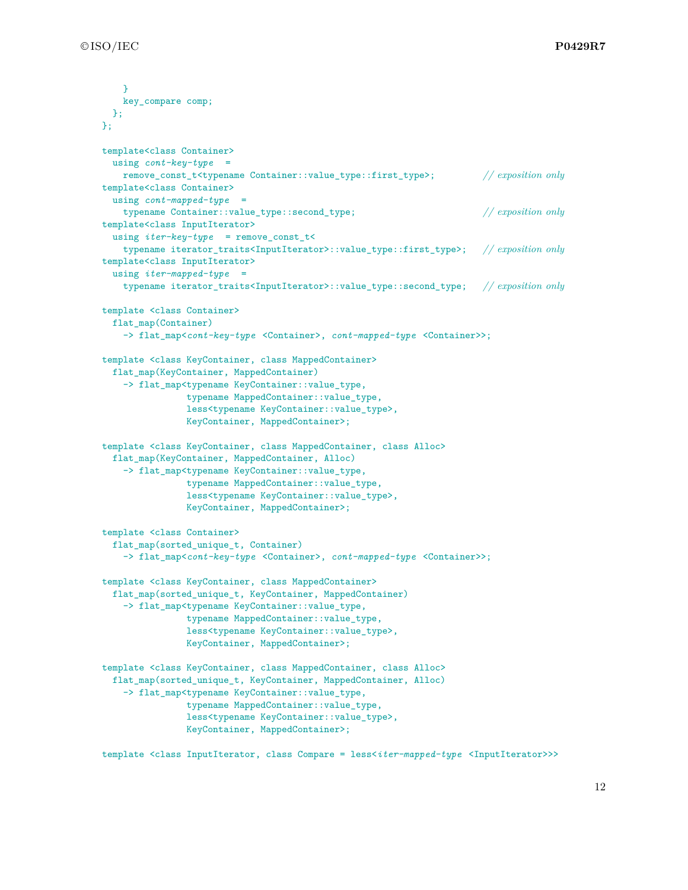```
}
   key_compare comp;
 };
};
template<class Container>
 using cont-key-type =
   remove_const_t<typename Container::value_type::first_type>; // exposition only
template<class Container>
 using cont-mapped-type =
   typename Container::value_type::second_type; // exposition only
template<class InputIterator>
 using iter-key-type = remove_const_t<
   typename iterator_traits<InputIterator>::value_type::first_type>; // exposition only
template<class InputIterator>
 using iter-mapped-type =
   typename iterator_traits<InputIterator>::value_type::second_type; // exposition only
template <class Container>
 flat_map(Container)
   -> flat_map<cont-key-type <Container>, cont-mapped-type <Container>>;
template <class KeyContainer, class MappedContainer>
 flat_map(KeyContainer, MappedContainer)
   -> flat_map<typename KeyContainer::value_type,
               typename MappedContainer::value_type,
               less<typename KeyContainer::value_type>,
               KeyContainer, MappedContainer>;
template <class KeyContainer, class MappedContainer, class Alloc>
 flat_map(KeyContainer, MappedContainer, Alloc)
   -> flat_map<typename KeyContainer::value_type,
               typename MappedContainer::value_type,
               less<typename KeyContainer::value_type>,
               KeyContainer, MappedContainer>;
template <class Container>
 flat_map(sorted_unique_t, Container)
   -> flat_map<cont-key-type <Container>, cont-mapped-type <Container>>;
template <class KeyContainer, class MappedContainer>
 flat_map(sorted_unique_t, KeyContainer, MappedContainer)
   -> flat_map<typename KeyContainer::value_type,
               typename MappedContainer::value_type,
               less<typename KeyContainer::value_type>,
               KeyContainer, MappedContainer>;
template <class KeyContainer, class MappedContainer, class Alloc>
 flat_map(sorted_unique_t, KeyContainer, MappedContainer, Alloc)
   -> flat_map<typename KeyContainer::value_type,
                typename MappedContainer::value_type,
               less<typename KeyContainer::value_type>,
               KeyContainer, MappedContainer>;
```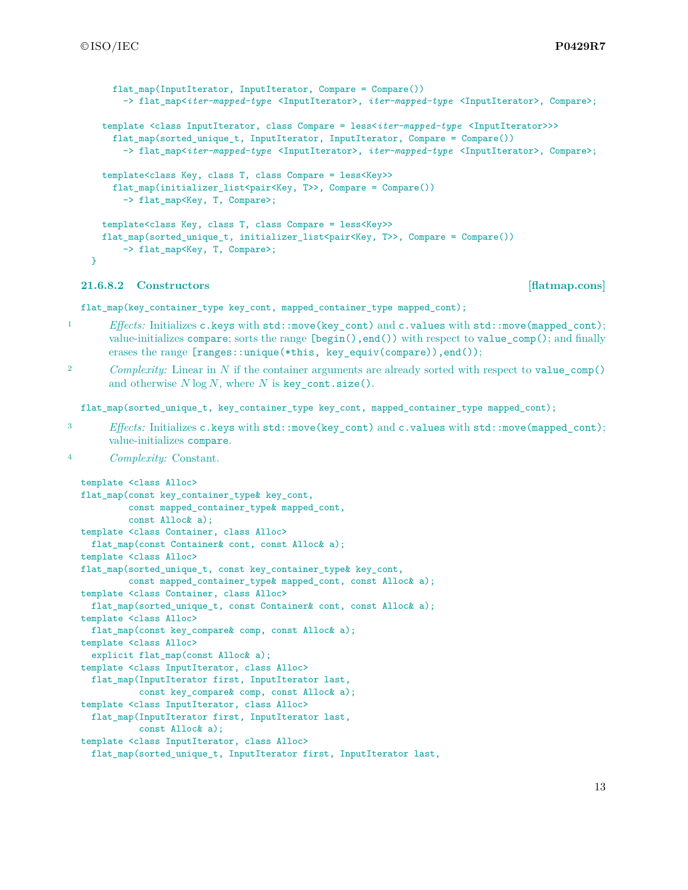```
flat map(InputIterator, InputIterator, Compare = Compare())
    -> flat_map<iter-mapped-type <InputIterator>, iter-mapped-type <InputIterator>, Compare>;
template <class InputIterator, class Compare = less<iter-mapped-type <InputIterator>>>
  flat_map(sorted_unique_t, InputIterator, InputIterator, Compare = Compare())
    -> flat_map<iter-mapped-type <InputIterator>, iter-mapped-type <InputIterator>, Compare>;
template<class Key, class T, class Compare = less<Key>>
  flat_map(initializer_list<pair<Key, T>>, Compare = Compare())
    -> flat_map<Key, T, Compare>;
template<class Key, class T, class Compare = less<Key>>
flat_map(sorted_unique_t, initializer_list<pair<Key, T>>, Compare = Compare())
    -> flat_map<Key, T, Compare>;
```

```
}
```
### **21.6.8.2 Constructors [flatmap.cons]**

flat\_map(key\_container\_type key\_cont, mapped\_container\_type mapped\_cont);

- 1 *Effects:* Initializes c.keys with std::move(key\_cont) and c.values with std::move(mapped\_cont); value-initializes compare; sorts the range [begin(),end()) with respect to value\_comp(); and finally erases the range [ranges::unique(\*this, key\_equiv(compare)),end());
- <sup>2</sup> *Complexity:* Linear in *N* if the container arguments are already sorted with respect to value\_comp() and otherwise *N* log *N*, where *N* is key\_cont.size().

flat\_map(sorted\_unique\_t, key\_container\_type key\_cont, mapped\_container\_type mapped\_cont);

- <sup>3</sup> *Effects:* Initializes c.keys with std::move(key\_cont) and c.values with std::move(mapped\_cont); value-initializes compare.
- <sup>4</sup> *Complexity:* Constant.

```
template <class Alloc>
flat_map(const key_container_type& key_cont,
         const mapped_container_type& mapped_cont,
        const Alloc& a);
template <class Container, class Alloc>
 flat_map(const Container& cont, const Alloc& a);
template <class Alloc>
flat_map(sorted_unique_t, const key_container_type& key_cont,
         const mapped_container_type& mapped_cont, const Alloc& a);
template <class Container, class Alloc>
 flat_map(sorted_unique_t, const Container& cont, const Alloc& a);
template <class Alloc>
 flat_map(const key_compare& comp, const Alloc& a);
template <class Alloc>
 explicit flat_map(const Alloc& a);
template <class InputIterator, class Alloc>
 flat_map(InputIterator first, InputIterator last,
           const key_compare& comp, const Alloc& a);
template <class InputIterator, class Alloc>
 flat_map(InputIterator first, InputIterator last,
           const Alloc& a);
template <class InputIterator, class Alloc>
 flat_map(sorted_unique_t, InputIterator first, InputIterator last,
```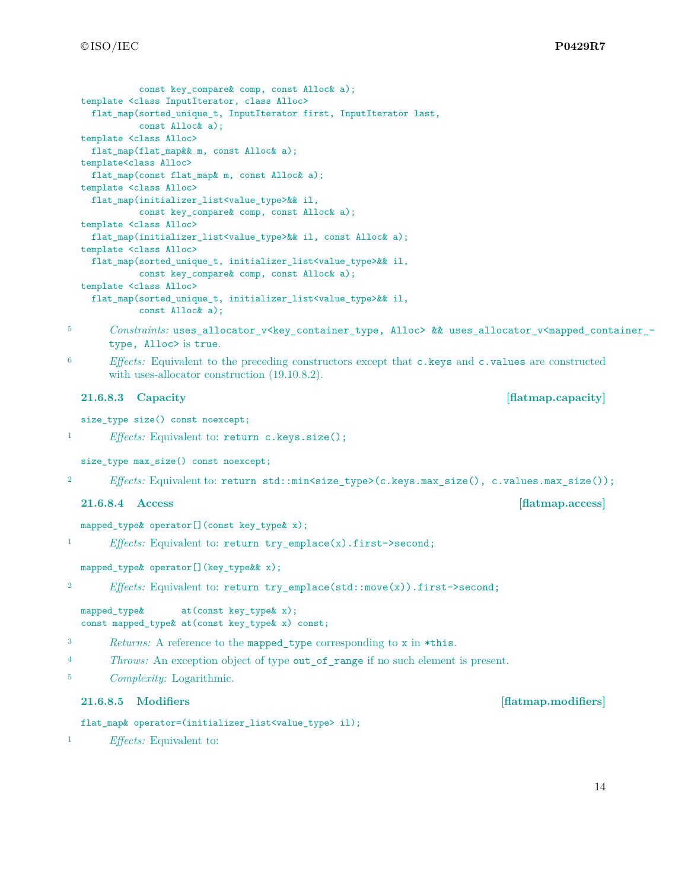```
const key compare& comp, const Alloc& a);
  template <class InputIterator, class Alloc>
    flat_map(sorted_unique_t, InputIterator first, InputIterator last,
            const Alloc& a);
  template <class Alloc>
    flat_map(flat_map&& m, const Alloc& a);
  template<class Alloc>
   flat_map(const flat_map& m, const Alloc& a);
  template <class Alloc>
   flat_map(initializer_list<value_type>&& il,
            const key_compare& comp, const Alloc& a);
  template <class Alloc>
    flat_map(initializer_list<value_type>&& il, const Alloc& a);
  template <class Alloc>
   flat_map(sorted_unique_t, initializer_list<value_type>&& il,
            const key_compare& comp, const Alloc& a);
  template <class Alloc>
    flat_map(sorted_unique_t, initializer_list<value_type>&& il,
            const Alloc& a);
5 Constraints: uses_allocator_v<key_container_type, Alloc> && uses_allocator_v<mapped_container_-
       type, Alloc> is true.
6 Effects: Equivalent to the preceding constructors except that c.keys and c.values are constructed
       with uses-allocator construction (19.10.8.2).
  21.6.8.3 Capacity [flatmap.capacity]
  size_type size() const noexcept;
1 Effects: Equivalent to: return c.keys.size();
  size_type max_size() const noexcept;
2 Effects: Equivalent to: return std::min<size_type>(c.keys.max_size(), c.values.max_size());
  21.6.8.4 Access [flatmap.access]
  mapped_type& operator[](const key_type& x);
1 Effects: Equivalent to: return try_emplace(x).first->second;
  mapped_type& operator[](key_type&& x);
```

```
2 Effects: Equivalent to: return try_emplace(std::move(x)).first->second;
```

```
mapped_type& at(const key_type& x);
const mapped_type& at(const key_type& x) const;
```

```
3 Returns: A reference to the mapped_type corresponding to x in *this.
```
<sup>4</sup> *Throws:* An exception object of type out\_of\_range if no such element is present.

<sup>5</sup> *Complexity:* Logarithmic.

# **21.6.8.5 Modifiers [flatmap.modifiers]**

```
flat_map& operator=(initializer_list<value_type> il);
```
<sup>1</sup> *Effects:* Equivalent to: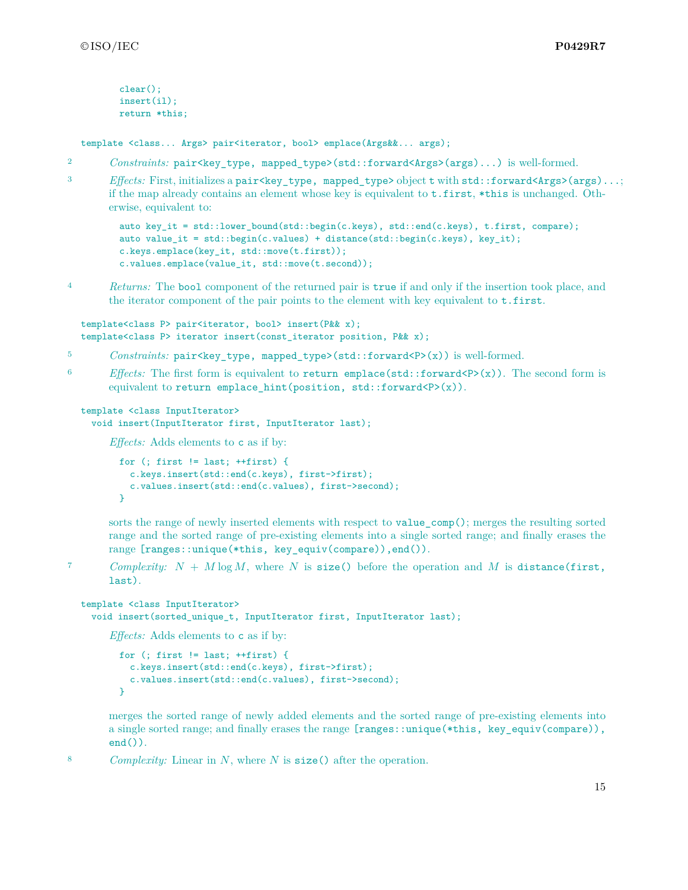```
clear();
insert(il);
return *this;
```
template <class... Args> pair<iterator, bool> emplace(Args&&... args);

- 2 *Constraints:* pair <**key** type, mapped type>(std::forward<Args>(args)...) is well-formed.
- 3 *Effects:* First, initializes a pair<key\_type, mapped\_type>object t with std::forward<Args>(args)...; if the map already contains an element whose key is equivalent to t.first, \*this is unchanged. Otherwise, equivalent to:

```
auto key_it = std::lower_bound(std::begin(c.keys), std::end(c.keys), t.first, compare);
auto value_it = std::begin(c.values) + distance(std::begin(c.keys), key_it);
c.keys.emplace(key_it, std::move(t.first));
c.values.emplace(value_it, std::move(t.second));
```
<sup>4</sup> *Returns:* The bool component of the returned pair is true if and only if the insertion took place, and the iterator component of the pair points to the element with key equivalent to  $t.first.$ 

```
template<class P> pair<iterator, bool> insert(P&& x);
template<class P> iterator insert(const_iterator position, P&& x);
```
- 5 *Constraints:* pair<key\_type, mapped\_type>(std::forward<P>(x)) is well-formed.
- <sup>6</sup> *Effects:* The first form is equivalent to return emplace(std::forward<P>(x)). The second form is equivalent to return emplace\_hint(position, std::forward<P>(x)).

```
template <class InputIterator>
  void insert(InputIterator first, InputIterator last);
```
*Effects:* Adds elements to c as if by:

```
for (; first != last; ++first) {
 c.keys.insert(std::end(c.keys), first->first);
 c.values.insert(std::end(c.values), first->second);
}
```
sorts the range of newly inserted elements with respect to value  $comp()$ ; merges the resulting sorted range and the sorted range of pre-existing elements into a single sorted range; and finally erases the range [ranges::unique(\*this, key\_equiv(compare)),end()).

7 *Complexity:*  $N + M \log M$ , where  $N$  is size() before the operation and  $M$  is distance(first, last).

```
template <class InputIterator>
  void insert(sorted_unique_t, InputIterator first, InputIterator last);
```
*Effects:* Adds elements to c as if by:

```
for (; first != last; ++first) {
 c.keys.insert(std::end(c.keys), first->first);
 c.values.insert(std::end(c.values), first->second);
}
```
merges the sorted range of newly added elements and the sorted range of pre-existing elements into a single sorted range; and finally erases the range [ranges::unique(\*this, key\_equiv(compare)),  $end()$ .

<sup>8</sup> *Complexity:* Linear in *N*, where *N* is size() after the operation.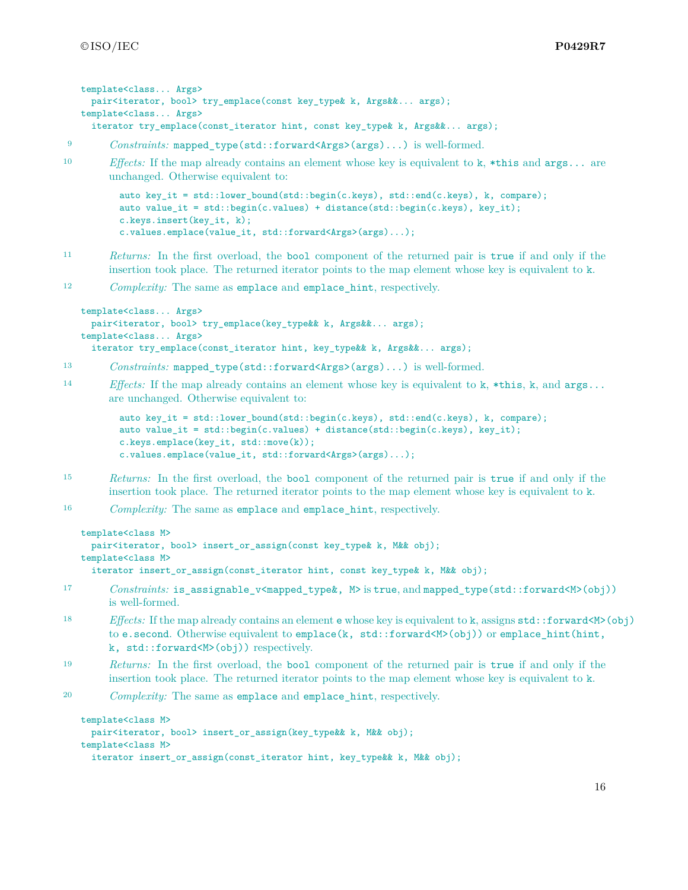```
template<class... Args>
 pair<iterator, bool> try_emplace(const key_type& k, Args&&... args);
template<class... Args>
 iterator try_emplace(const_iterator hint, const key_type& k, Args&&... args);
```

```
9 Constraints: mapped type(std::forward<Args>(args)...) is well-formed.
```

```
10 Effects: If the map already contains an element whose key is equivalent to k, *this and args... are
        unchanged. Otherwise equivalent to:
```

```
auto key_it = std::lower_bound(std::begin(c.keys), std::end(c.keys), k, compare);
auto value_it = std::begin(c.values) + distance(std::begin(c.keys), key_it);
c.keys.insert(key_it, k);
c.values.emplace(value_it, std::forward<Args>(args)...);
```
- <sup>11</sup> *Returns:* In the first overload, the bool component of the returned pair is true if and only if the insertion took place. The returned iterator points to the map element whose key is equivalent to k.
- <sup>12</sup> *Complexity:* The same as emplace and emplace hint, respectively.

```
template<class... Args>
 pair<iterator, bool> try emplace(key type & k, Args & &... args);
template<class... Args>
  iterator try_emplace(const_iterator hint, key_type&& k, Args&&... args);
```
- 13 *Constraints:* mapped type(std::forward<Args>(args)...) is well-formed.
- <sup>14</sup> *Effects:* If the map already contains an element whose key is equivalent to k, \*this, k, and args... are unchanged. Otherwise equivalent to:

```
auto key_it = std::lower_bound(std::begin(c.keys), std::end(c.keys), k, compare);
auto value_it = std::begin(c.values) + distance(std::begin(c.keys), key_it);
c.keys.emplace(key it, std::move(k));
c.values.emplace(value_it, std::forward<Args>(args)...);
```
- <sup>15</sup> *Returns:* In the first overload, the bool component of the returned pair is true if and only if the insertion took place. The returned iterator points to the map element whose key is equivalent to k.
- <sup>16</sup> *Complexity:* The same as emplace and emplace\_hint, respectively.

```
template<class M>
```

```
pair<iterator, bool> insert_or_assign(const key_type& k, M&& obj);
template<class M>
  iterator insert_or_assign(const_iterator hint, const key_type& k, M&& obj);
```
- 17 *Constraints:* is assignable v<mapped type &, M> is true, and mapped type(std::forward<M>(obj)) is well-formed.
- 18 *Effects:* If the map already contains an element **e** whose key is equivalent to k, assigns std::forward<M>(obj) to e.second. Otherwise equivalent to emplace(k, std::forward<M>>
(obj)) or emplace\_hint(hint, k, std::forward<M>(obj)) respectively.
- <sup>19</sup> *Returns:* In the first overload, the bool component of the returned pair is true if and only if the insertion took place. The returned iterator points to the map element whose key is equivalent to k.
- <sup>20</sup> *Complexity:* The same as emplace and emplace\_hint, respectively.

```
template<class M>
 pair<iterator, bool> insert_or_assign(key_type&& k, M&& obj);
template<class M>
 iterator insert_or_assign(const_iterator hint, key_type & k, M & obj);
```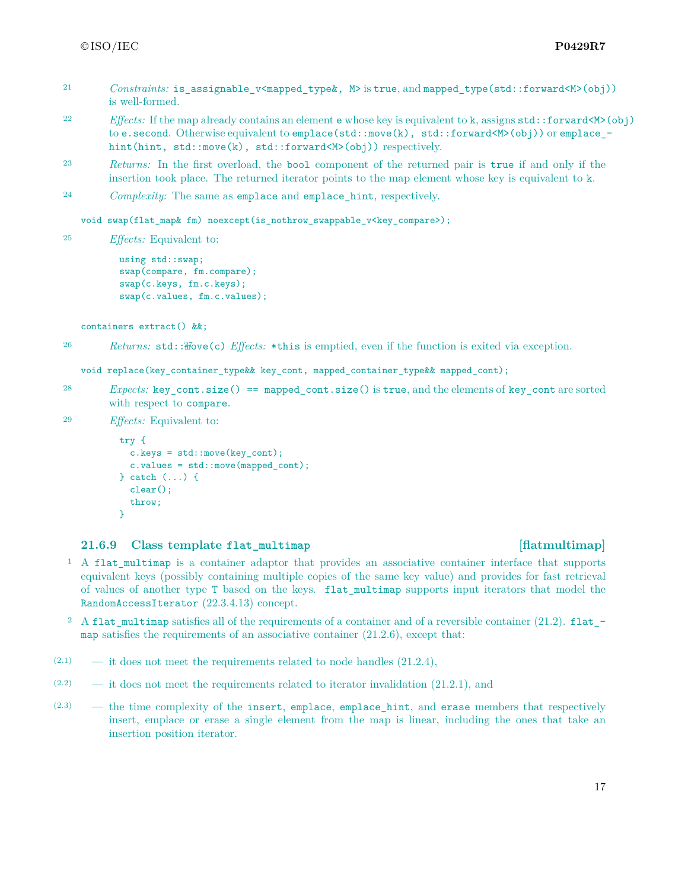- 21 *Constraints:* is assignable v<mapped type &, M> is true, and mapped type(std::forward<M>(obj)) is well-formed.
- <sup>22</sup> *Effects:* If the map already contains an element e whose key is equivalent to k, assigns std::forward<M>(obj) to e.second. Otherwise equivalent to emplace (std::move(k), std::forward<M>(obj)) or emplace hint(hint, std::move(k), std::forward<M>(obj)) respectively.
- <sup>23</sup> *Returns:* In the first overload, the bool component of the returned pair is true if and only if the insertion took place. The returned iterator points to the map element whose key is equivalent to k.
- <sup>24</sup> *Complexity:* The same as emplace and emplace\_hint, respectively.

void swap(flat\_map& fm) noexcept(is\_nothrow\_swappable\_v<key\_compare>);

<sup>25</sup> *Effects:* Equivalent to:

using std::swap; swap(compare, fm.compare); swap(c.keys, fm.c.keys); swap(c.values, fm.c.values);

containers extract() &&;

26 *Returns:* std:: $\mathcal{H}ove(c)$  *Effects:* \*this is emptied, even if the function is exited via exception.

void replace(key\_container\_type&& key\_cont, mapped\_container\_type&& mapped\_cont);

- <sup>28</sup> *Expects:* key\_cont.size() == mapped\_cont.size() is true, and the elements of key\_cont are sorted with respect to compare.
- <sup>29</sup> *Effects:* Equivalent to:

```
try {
  c.\text{keys} = \text{std::move}(\text{key\_cont});c.values = std::move(mapped_cont);
} catch (...) {
  clear();
  throw;
}
```
### **21.6.9 Class template flat\_multimap [flatmultimap]**

- <sup>1</sup> A flat\_multimap is a container adaptor that provides an associative container interface that supports equivalent keys (possibly containing multiple copies of the same key value) and provides for fast retrieval of values of another type T based on the keys. flat\_multimap supports input iterators that model the RandomAccessIterator (22.3.4.13) concept.
- <sup>2</sup> A flat\_multimap satisfies all of the requirements of a container and of a reversible container (21.2). flat\_ $$ map satisfies the requirements of an associative container  $(21.2.6)$ , except that:
- $(2.1)$  it does not meet the requirements related to node handles  $(21.2.4)$ ,
- $(2.2)$  it does not meet the requirements related to iterator invalidation  $(21.2.1)$ , and
- (2.3) the time complexity of the insert, emplace, emplace\_hint, and erase members that respectively insert, emplace or erase a single element from the map is linear, including the ones that take an insertion position iterator.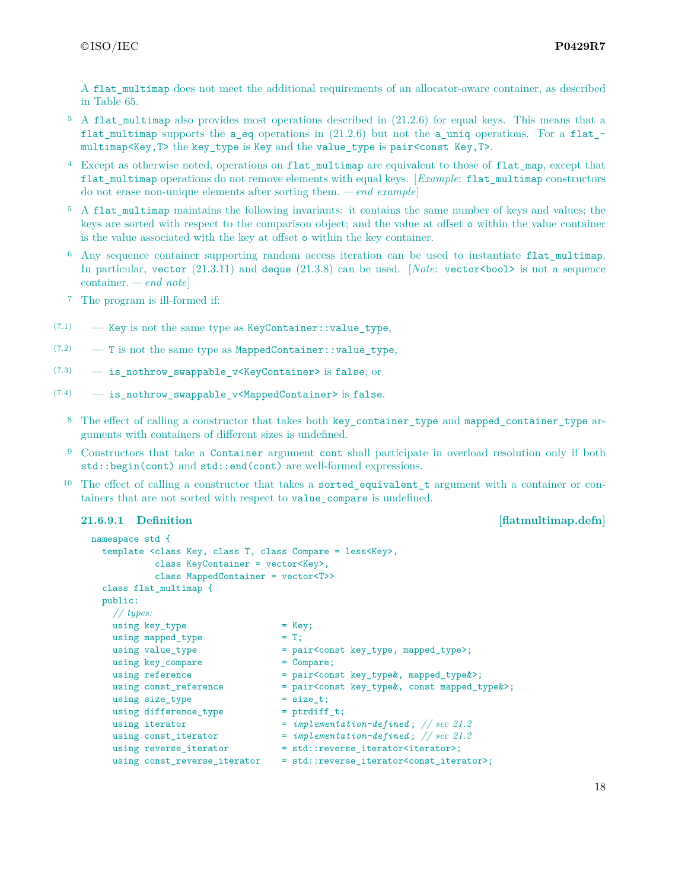A flat multimap does not meet the additional requirements of an allocator-aware container, as described in Table 65.

- $3\,$  A flat multimap also provides most operations described in (21.2.6) for equal keys. This means that a flat multimap supports the a eq operations in (21.2.6) but not the a uniq operations. For a flat  $$ multimap<Key,T> the key\_type is Key and the value\_type is pair<const Key,T>.
- <sup>4</sup> Except as otherwise noted, operations on flat\_multimap are equivalent to those of flat\_map, except that flat\_multimap operations do not remove elements with equal keys. [*Example*: flat\_multimap constructors do not erase non-unique elements after sorting them. *— end example*]
- <sup>5</sup> A flat multimap maintains the following invariants: it contains the same number of keys and values; the keys are sorted with respect to the comparison object; and the value at offset o within the value container is the value associated with the key at offset o within the key container.
- <sup>6</sup> Any sequence container supporting random access iteration can be used to instantiate flat multimap. In particular, vector  $(21.3.11)$  and deque  $(21.3.8)$  can be used. *[Note: vector <br/>bool*> is not a sequence container. *— end note*]
- <sup>7</sup> The program is ill-formed if:
- $(7.1)$  Key is not the same type as KeyContainer: : value\_type,
- $(7.2)$  T is not the same type as MappedContainer: value type,
- (7.3) is\_nothrow\_swappable\_v<KeyContainer> is false, or
- $(7.4)$  is nothrow swappable v<MappedContainer> is false.
	- <sup>8</sup> The effect of calling a constructor that takes both key\_container\_type and mapped\_container\_type arguments with containers of different sizes is undefined.
	- <sup>9</sup> Constructors that take a Container argument cont shall participate in overload resolution only if both std::begin(cont) and std::end(cont) are well-formed expressions.
	- <sup>10</sup> The effect of calling a constructor that takes a **sorted\_equivalent\_t** argument with a container or containers that are not sorted with respect to value\_compare is undefined.

## **21.6.9.1 Definition** *Physical <b>Example Example Example Example Example Example Example Example Example Example Example Example Example Example Example Example Example Example Example*

```
namespace std {
 template <class Key, class T, class Compare = less<Key>,
          class KeyContainer = vector<Key>,
          class MappedContainer = vector<T>>
 class flat_multimap {
 public:
   // types:
   using key_type = Key;
   using mapped_type = T;<br>using value_type = pa:<br>= pa:
                               = pair<const key_type, mapped_type>;
   using key_compare = Compare;
   using reference = pair<const key_type&, mapped_type&>;
   using const_reference = pair<const key_type&, const mapped_type&>;
   using size_type = size_t;
   using difference_type = ptrdiff_t;
   using iterator = implementation-defined; // see 21.2
   using const_iterator = implementation-defined; // see 21.2
   using reverse_iterator = std::reverse_iterator<iterator>;
   using const_reverse_iterator = std::reverse_iterator<const_iterator>;
```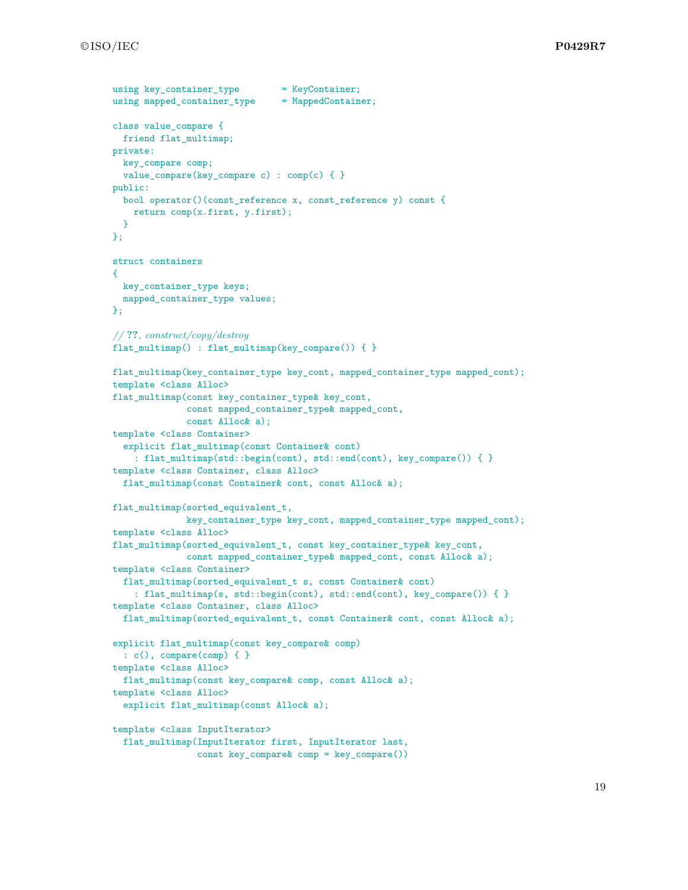```
using key container type = KeyContainer;
using mapped_container_type = MappedContainer;
class value_compare {
 friend flat_multimap;
private:
 key_compare comp;
 value_compare(key_compare c) : comp(c) { }
public:
 bool operator()(const_reference x, const_reference y) const {
    return comp(x.first, y.first);
 }
};
struct containers
{
 key_container_type keys;
 mapped_container_type values;
};
// ??, construct/copy/destroy
flat_multimap() : flat_multimap(key_compare()) { }
flat_multimap(key_container_type key_cont, mapped_container_type mapped_cont);
template <class Alloc>
flat_multimap(const key_container_type& key_cont,
              const mapped_container_type& mapped_cont,
              const Alloc& a);
template <class Container>
  explicit flat_multimap(const Container& cont)
    : flat_multimap(std::begin(cont), std::end(cont), key_compare()) { }
template <class Container, class Alloc>
  flat_multimap(const Container& cont, const Alloc& a);
flat_multimap(sorted_equivalent_t,
             key_container_type key_cont, mapped_container_type mapped_cont);
template <class Alloc>
flat_multimap(sorted_equivalent_t, const key_container_type& key_cont,
              const mapped_container_type& mapped_cont, const Alloc& a);
template <class Container>
 flat_multimap(sorted_equivalent_t s, const Container& cont)
    : flat_multimap(s, std::begin(cont), std::end(cont), key_compare()) { }
template <class Container, class Alloc>
 flat_multimap(sorted_equivalent_t, const Container& cont, const Alloc& a);
explicit flat_multimap(const key_compare& comp)
 : c(), compare(comp) { }
template <class Alloc>
 flat_multimap(const key_compare& comp, const Alloc& a);
template <class Alloc>
  explicit flat_multimap(const Alloc& a);
template <class InputIterator>
  flat_multimap(InputIterator first, InputIterator last,
                const key compare& comp = key compare())
```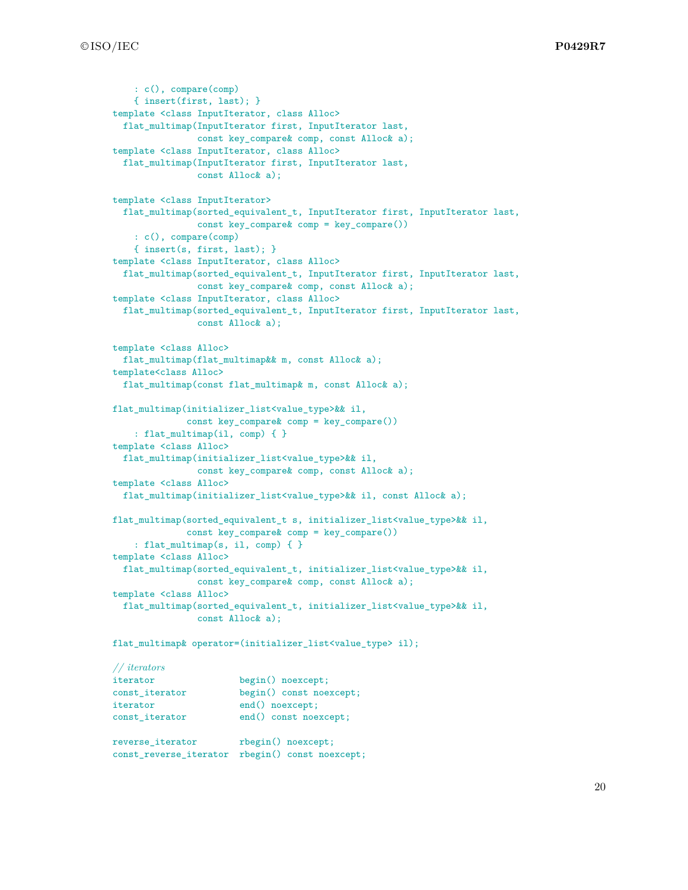```
: c(), compare(comp)
    { insert(first, last); }
template <class InputIterator, class Alloc>
  flat_multimap(InputIterator first, InputIterator last,
               const key_compare& comp, const Alloc& a);
template <class InputIterator, class Alloc>
  flat_multimap(InputIterator first, InputIterator last,
                const Alloc& a);
template <class InputIterator>
  flat_multimap(sorted_equivalent_t, InputIterator first, InputIterator last,
               const key_compare& comp = key_compare())
    : c(), compare(comp)
    { insert(s, first, last); }
template <class InputIterator, class Alloc>
  flat_multimap(sorted_equivalent_t, InputIterator first, InputIterator last,
               const key_compare& comp, const Alloc& a);
template <class InputIterator, class Alloc>
 flat_multimap(sorted_equivalent_t, InputIterator first, InputIterator last,
               const Alloc& a);
template <class Alloc>
 flat_multimap(flat_multimap&& m, const Alloc& a);
template<class Alloc>
  flat_multimap(const flat_multimap& m, const Alloc& a);
flat_multimap(initializer_list<value_type>&& il,
             const key_compare& comp = key_compare())
    : flat_multimap(il, comp) { }
template <class Alloc>
  flat_multimap(initializer_list<value_type>&& il,
               const key_compare& comp, const Alloc& a);
template <class Alloc>
  flat_multimap(initializer_list<value_type>&& il, const Alloc& a);
flat_multimap(sorted_equivalent_t s, initializer_list<value_type>&& il,
             const key_compare& comp = key_compare())
    : flat_multimap(s, il, comp) { }
template <class Alloc>
 flat_multimap(sorted_equivalent_t, initializer_list<value_type>&& il,
               const key_compare& comp, const Alloc& a);
template <class Alloc>
  flat_multimap(sorted_equivalent_t, initializer_list<value_type>&& il,
               const Alloc& a);
flat_multimap& operator=(initializer_list<value_type> il);
// iterators
iterator begin() noexcept;
const_iterator begin() const noexcept;
iterator end() noexcept;
const_iterator end() const noexcept;
reverse_iterator rbegin() noexcept;
const_reverse_iterator rbegin() const noexcept;
```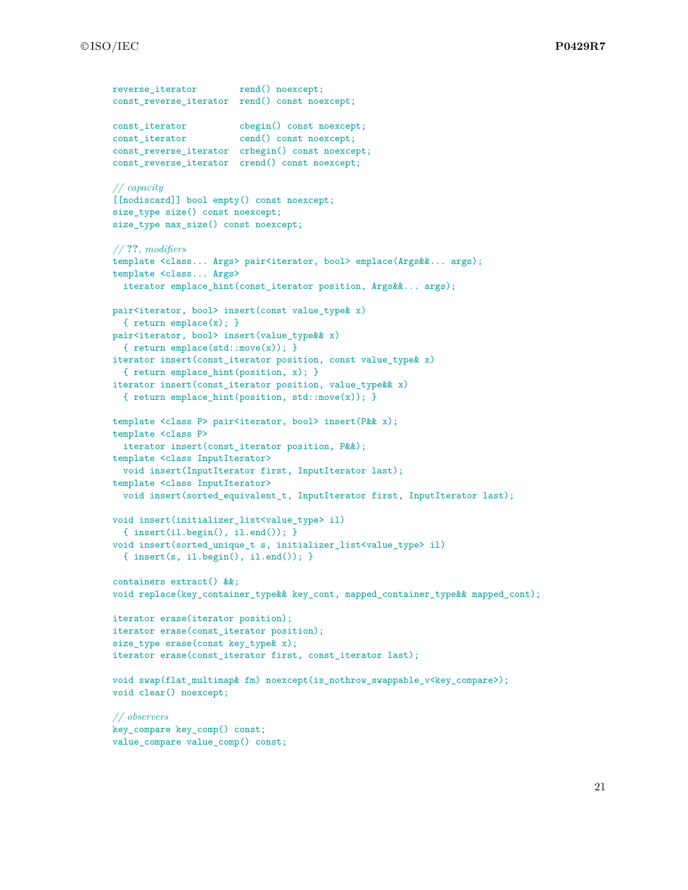```
reverse_iterator rend() noexcept;
const_reverse_iterator rend() const noexcept;
const_iterator cbegin() const noexcept;
const_iterator cend() const noexcept;
const_reverse_iterator crbegin() const noexcept;
const_reverse_iterator crend() const noexcept;
// capacity
[[nodiscard]] bool empty() const noexcept;
size_type size() const noexcept;
size_type max_size() const noexcept;
// ??, modifiers
template <class... Args> pair<iterator, bool> emplace(Args&&... args);
template <class... Args>
  iterator emplace_hint(const_iterator position, Args&&... args);
pair<iterator, bool> insert(const value_type& x)
  { return emplace(x); }
pair<iterator, bool> insert(value_type&& x)
 { return emplace(std::move(x)); }
iterator insert(const_iterator position, const value_type& x)
  { return emplace_hint(position, x); }
iterator insert(const_iterator position, value_type&& x)
  { return emplace_hint(position, std::move(x)); }
template <class P> pair<iterator, bool> insert(P&& x);
template <class P>
  iterator insert(const_iterator position, P&&);
template <class InputIterator>
 void insert(InputIterator first, InputIterator last);
template <class InputIterator>
 void insert(sorted_equivalent_t, InputIterator first, InputIterator last);
void insert(initializer_list<value_type> il)
 { insert(il.begin(), il.end()); }
void insert(sorted_unique_t s, initializer_list<value_type> il)
  { insert(s, il.begin(), il.end()); }
containers extract() &&;
void replace(key_container_type&& key_cont, mapped_container_type&& mapped_cont);
iterator erase(iterator position);
iterator erase(const_iterator position);
size_type erase(const key_type& x);
iterator erase(const_iterator first, const_iterator last);
void swap(flat_multimap& fm) noexcept(is_nothrow_swappable_v<key_compare>);
void clear() noexcept;
// observers
key_compare key_comp() const;
```
value\_compare value\_comp() const;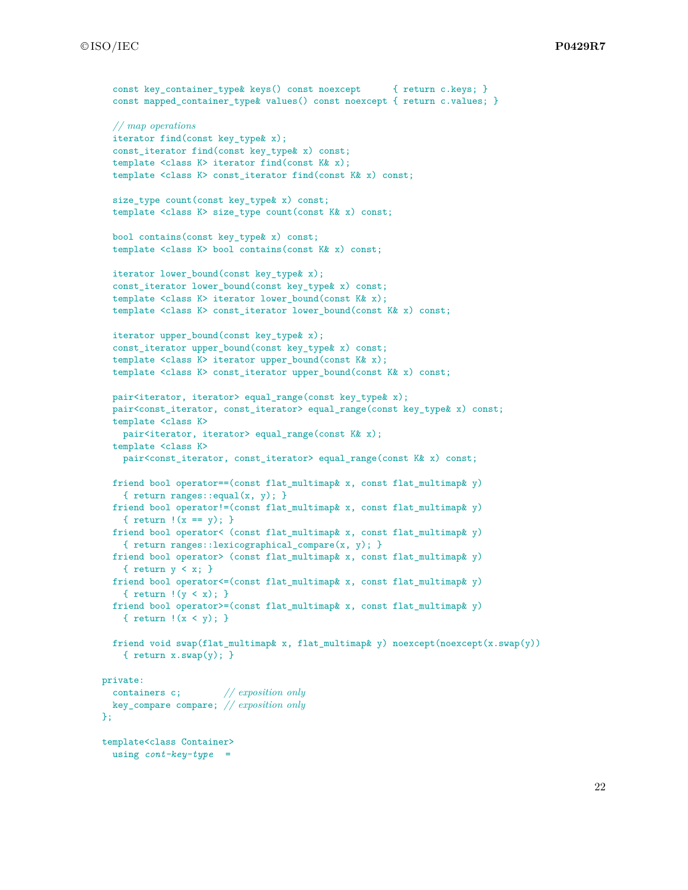```
const key container type keys() const noexcept { return c.keys; }
  const mapped_container_type& values() const noexcept { return c.values; }
 // map operations
 iterator find(const key_type& x);
 const_iterator find(const key_type& x) const;
  template <class K> iterator find(const K& x);
 template <class K> const_iterator find(const K& x) const;
 size_type count(const key_type& x) const;
 template <class K> size_type count(const K& x) const;
 bool contains(const key_type& x) const;
 template <class K> bool contains(const K& x) const;
 iterator lower bound(const key type x);
 const_iterator lower_bound(const key_type& x) const;
 template <class K> iterator lower_bound(const K& x);
 template <class K> const_iterator lower_bound(const K& x) const;
 iterator upper_bound(const key_type& x);
 const_iterator upper_bound(const key_type& x) const;
  template <class K> iterator upper_bound(const K& x);
  template <class K> const_iterator upper_bound(const K& x) const;
 pair<iterator, iterator> equal_range(const key_type& x);
 pair<const_iterator, const_iterator> equal_range(const key_type& x) const;
 template <class K>
   pair<iterator, iterator> equal_range(const K& x);
 template <class K>
   pair<const_iterator, const_iterator> equal_range(const K& x) const;
 friend bool operator==(const flat_multimap& x, const flat_multimap& y)
    { return ranges::equal(x, y); }
 friend bool operator!=(const flat_multimap& x, const flat_multimap& y)
    { return !(x == y); }
 friend bool operator< (const flat_multimap& x, const flat_multimap& y)
    { return ranges::lexicographical_compare(x, y); }
 friend bool operator> (const flat_multimap& x, const flat_multimap& y)
   { return y < x; }
 friend bool operator<=(const flat_multimap& x, const flat_multimap& y)
    { return !(y < x); }
 friend bool operator>=(const flat_multimap& x, const flat_multimap& y)
   { return !(x < y); }
 friend void swap(flat_multimap& x, flat_multimap& y) noexcept(noexcept(x.swap(y))
    { return x.sum(y); }
private:
 containers c; // exposition only
 key_compare compare; // exposition only
};
template<class Container>
 using cont-key-type =
```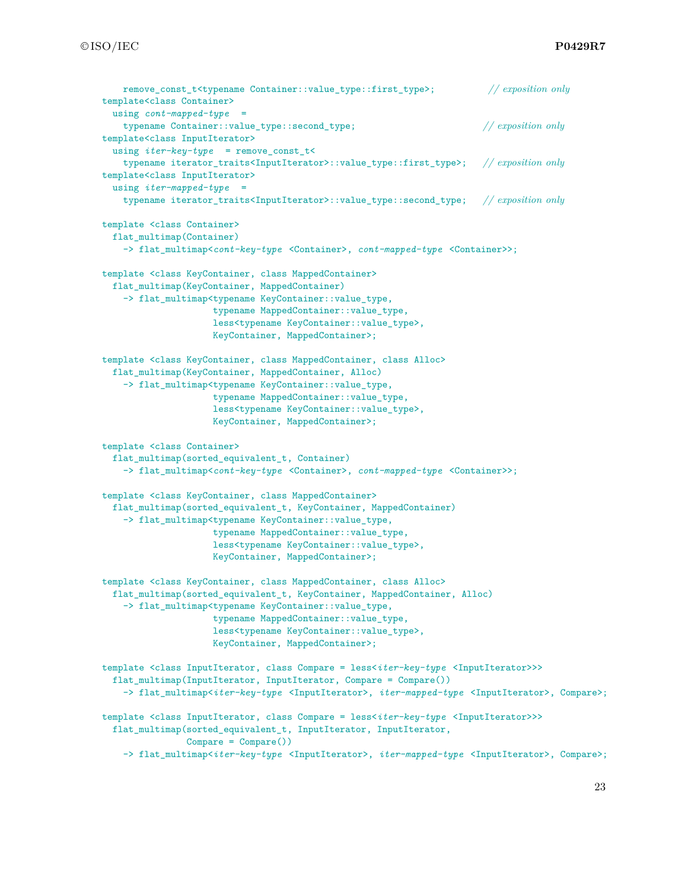```
remove_const_t<typename Container::value_type::first_type>; // exposition only
template<class Container>
  using cont-mapped-type =
    typename Container::value_type::second_type; // exposition only
template<class InputIterator>
  using iter-key-type = remove_const_t<
   typename iterator_traits<InputIterator>::value_type::first_type>; // exposition only
template<class InputIterator>
  using iter-mapped-type =
    typename iterator_traits<InputIterator>::value_type::second_type; // exposition only
template <class Container>
  flat_multimap(Container)
    -> flat_multimap<cont-key-type <Container>, cont-mapped-type <Container>>;
template <class KeyContainer, class MappedContainer>
  flat_multimap(KeyContainer, MappedContainer)
    -> flat_multimap<typename KeyContainer::value_type,
                     typename MappedContainer::value_type,
                     less<typename KeyContainer::value_type>,
                    KeyContainer, MappedContainer>;
template <class KeyContainer, class MappedContainer, class Alloc>
  flat_multimap(KeyContainer, MappedContainer, Alloc)
    -> flat_multimap<typename KeyContainer::value_type,
                     typename MappedContainer::value_type,
                     less<typename KeyContainer::value_type>,
                    KeyContainer, MappedContainer>;
template <class Container>
  flat_multimap(sorted_equivalent_t, Container)
    -> flat_multimap<cont-key-type <Container>, cont-mapped-type <Container>>;
template <class KeyContainer, class MappedContainer>
  flat_multimap(sorted_equivalent_t, KeyContainer, MappedContainer)
    -> flat_multimap<typename KeyContainer::value_type,
                     typename MappedContainer::value_type,
                     less<typename KeyContainer::value_type>,
                     KeyContainer, MappedContainer>;
template <class KeyContainer, class MappedContainer, class Alloc>
  flat_multimap(sorted_equivalent_t, KeyContainer, MappedContainer, Alloc)
    -> flat_multimap<typename KeyContainer::value_type,
                     typename MappedContainer::value_type,
                     less<typename KeyContainer::value_type>,
                    KeyContainer, MappedContainer>;
template <class InputIterator, class Compare = less<iter-key-type <InputIterator>>>
  flat_multimap(InputIterator, InputIterator, Compare = Compare())
    -> flat_multimap<iter-key-type <InputIterator>, iter-mapped-type <InputIterator>, Compare>;
template <class InputIterator, class Compare = less<iter-key-type <InputIterator>>>
  flat_multimap(sorted_equivalent_t, InputIterator, InputIterator,
                Compare = Compare()-> flat_multimap<iter-key-type <InputIterator>, iter-mapped-type <InputIterator>, Compare>;
```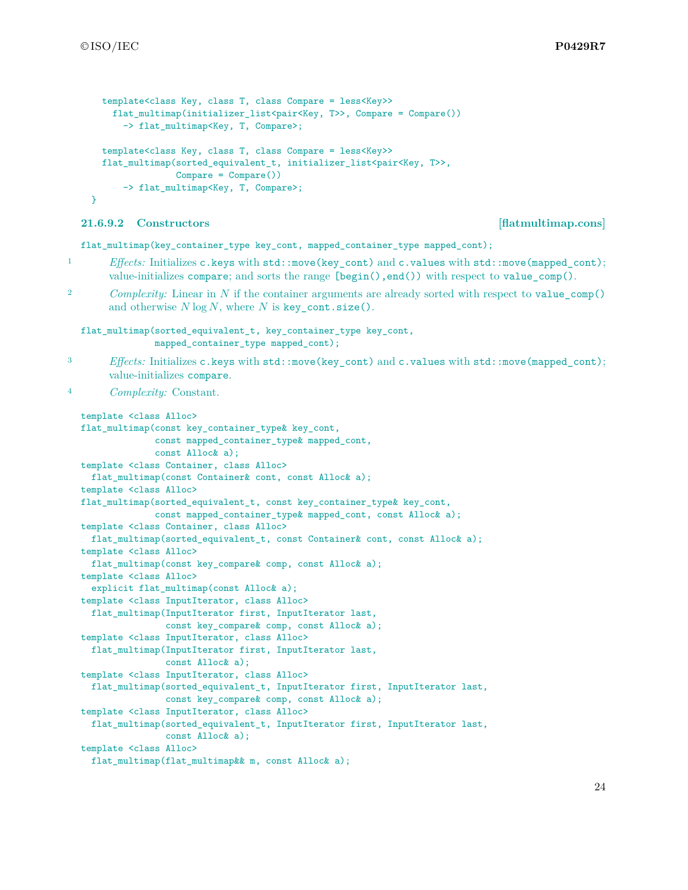```
template<class Key, class T, class Compare = less<Key>>
    flat_multimap(initializer_list<pair<Key, T>>, Compare = Compare())
      -> flat_multimap<Key, T, Compare>;
  template<class Key, class T, class Compare = less<Key>>
  flat multimap(sorted_equivalent_t, initializer_list<pair<Key, T>>,
                Compare = Compare()-> flat_multimap<Key, T, Compare>;
}
```
# **21.6.9.2 Constructors [flatmultimap.cons]**

flat\_multimap(key\_container\_type key\_cont, mapped\_container\_type mapped\_cont);

- 1 *Effects:* Initializes c.keys with std::move(key\_cont) and c.values with std::move(mapped\_cont); value-initializes compare; and sorts the range [begin(),end()) with respect to value\_comp().
- <sup>2</sup> *Complexity:* Linear in *N* if the container arguments are already sorted with respect to value comp() and otherwise *N* log *N*, where *N* is key\_cont.size().

flat\_multimap(sorted\_equivalent\_t, key\_container\_type key\_cont, mapped\_container\_type mapped\_cont);

3 *Effects:* Initializes c.keys with std::move(key\_cont) and c.values with std::move(mapped\_cont); value-initializes compare.

<sup>4</sup> *Complexity:* Constant.

```
template <class Alloc>
flat_multimap(const key_container_type& key_cont,
             const mapped_container_type& mapped_cont,
             const Alloc& a);
template <class Container, class Alloc>
 flat_multimap(const Container& cont, const Alloc& a);
template <class Alloc>
flat_multimap(sorted_equivalent_t, const key_container_type& key_cont,
             const mapped_container_type& mapped_cont, const Alloc& a);
template <class Container, class Alloc>
 flat_multimap(sorted_equivalent_t, const Container& cont, const Alloc& a);
template <class Alloc>
 flat_multimap(const key_compare& comp, const Alloc& a);
template <class Alloc>
  explicit flat_multimap(const Alloc& a);
template <class InputIterator, class Alloc>
 flat_multimap(InputIterator first, InputIterator last,
                const key_compare& comp, const Alloc& a);
template <class InputIterator, class Alloc>
 flat_multimap(InputIterator first, InputIterator last,
               const Alloc& a);
template <class InputIterator, class Alloc>
 flat_multimap(sorted_equivalent_t, InputIterator first, InputIterator last,
               const key_compare& comp, const Alloc& a);
template <class InputIterator, class Alloc>
 flat_multimap(sorted_equivalent_t, InputIterator first, InputIterator last,
               const Alloc& a);
template <class Alloc>
 flat_multimap(flat_multimap&& m, const Alloc& a);
```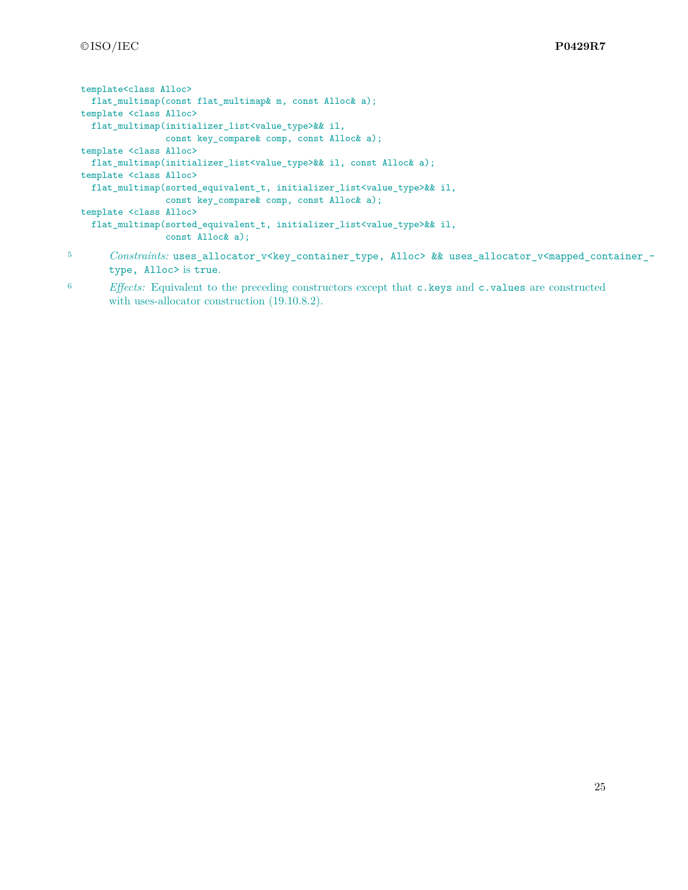```
template<class Alloc>
 flat_multimap(const flat_multimap& m, const Alloc& a);
template <class Alloc>
 flat_multimap(initializer_list<value_type>&& il,
               const key_compare& comp, const Alloc& a);
template <class Alloc>
 flat_multimap(initializer_list<value_type>&& il, const Alloc& a);
template <class Alloc>
 flat_multimap(sorted_equivalent_t, initializer_list<value_type>&& il,
                const key_compare& comp, const Alloc& a);
template <class Alloc>
  flat_multimap(sorted_equivalent_t, initializer_list<value_type>&& il,
                const Alloc& a);
```
- 5 *Constraints:* uses\_allocator\_v<key\_container\_type, Alloc> && uses\_allocator\_v<mapped\_container\_type, Alloc> is true.
- <sup>6</sup> *Effects:* Equivalent to the preceding constructors except that c.keys and c.values are constructed with uses-allocator construction (19.10.8.2).